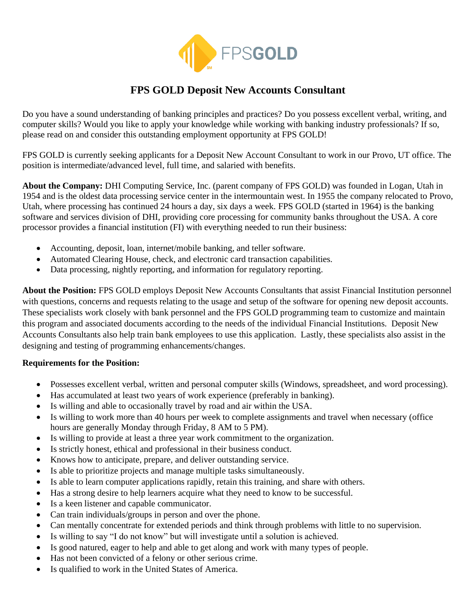

## **FPS GOLD Deposit New Accounts Consultant**

Do you have a sound understanding of banking principles and practices? Do you possess excellent verbal, writing, and computer skills? Would you like to apply your knowledge while working with banking industry professionals? If so, please read on and consider this outstanding employment opportunity at FPS GOLD!

FPS GOLD is currently seeking applicants for a Deposit New Account Consultant to work in our Provo, UT office. The position is intermediate/advanced level, full time, and salaried with benefits.

**About the Company:** DHI Computing Service, Inc. (parent company of FPS GOLD) was founded in Logan, Utah in 1954 and is the oldest data processing service center in the intermountain west. In 1955 the company relocated to Provo, Utah, where processing has continued 24 hours a day, six days a week. FPS GOLD (started in 1964) is the banking software and services division of DHI, providing core processing for community banks throughout the USA. A core processor provides a financial institution (FI) with everything needed to run their business:

- Accounting, deposit, loan, internet/mobile banking, and teller software.
- Automated Clearing House, check, and electronic card transaction capabilities.
- Data processing, nightly reporting, and information for regulatory reporting.

**About the Position:** FPS GOLD employs Deposit New Accounts Consultants that assist Financial Institution personnel with questions, concerns and requests relating to the usage and setup of the software for opening new deposit accounts. These specialists work closely with bank personnel and the FPS GOLD programming team to customize and maintain this program and associated documents according to the needs of the individual Financial Institutions. Deposit New Accounts Consultants also help train bank employees to use this application. Lastly, these specialists also assist in the designing and testing of programming enhancements/changes.

## **Requirements for the Position:**

- Possesses excellent verbal, written and personal computer skills (Windows, spreadsheet, and word processing).
- Has accumulated at least two years of work experience (preferably in banking).
- Is willing and able to occasionally travel by road and air within the USA.
- Is willing to work more than 40 hours per week to complete assignments and travel when necessary (office hours are generally Monday through Friday, 8 AM to 5 PM).
- Is willing to provide at least a three year work commitment to the organization.
- Is strictly honest, ethical and professional in their business conduct.
- Knows how to anticipate, prepare, and deliver outstanding service.
- Is able to prioritize projects and manage multiple tasks simultaneously.
- Is able to learn computer applications rapidly, retain this training, and share with others.
- Has a strong desire to help learners acquire what they need to know to be successful.
- Is a keen listener and capable communicator.
- Can train individuals/groups in person and over the phone.
- Can mentally concentrate for extended periods and think through problems with little to no supervision.
- Is willing to say "I do not know" but will investigate until a solution is achieved.
- Is good natured, eager to help and able to get along and work with many types of people.
- Has not been convicted of a felony or other serious crime.
- Is qualified to work in the United States of America.